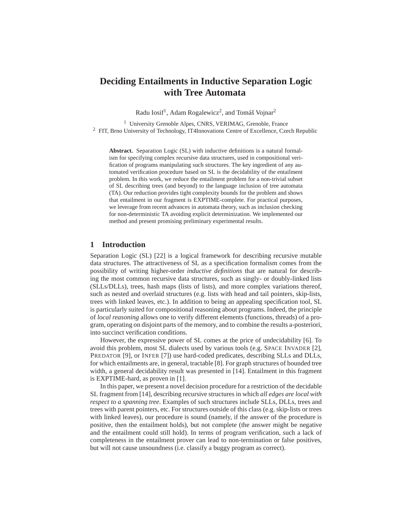# **Deciding Entailments in Inductive Separation Logic with Tree Automata**

Radu Iosif<sup>1</sup>, Adam Rogalewicz<sup>2</sup>, and Tomáš Vojnar<sup>2</sup>

<sup>1</sup> University Grenoble Alpes, CNRS, VERIMAG, Grenoble, France  $2$  FIT, Brno University of Technology, IT4Innovations Centre of Excellence, Czech Republic

**Abstract.** Separation Logic (SL) with inductive definitions is a natural formalism for specifying complex recursive data structures, used in compositional verification of programs manipulating such structures. The key ingredient of any automated verification procedure based on SL is the decidability of the entailment problem. In this work, we reduce the entailment problem for a non-trivial subset of SL describing trees (and beyond) to the language inclusion of tree automata (TA). Our reduction provides tight complexity bounds for the problem and shows that entailment in our fragment is EXPTIME-complete. For practical purposes, we leverage from recent advances in automata theory, such as inclusion checking for non-deterministic TA avoiding explicit determinization. We implemented our method and present promising preliminary experimental results.

# **1 Introduction**

Separation Logic (SL) [22] is a logical framework for describing recursive mutable data structures. The attractiveness of SL as a specification formalism comes from the possibility of writing higher-order *inductive definitions* that are natural for describing the most common recursive data structures, such as singly- or doubly-linked lists (SLLs/DLLs), trees, hash maps (lists of lists), and more complex variations thereof, such as nested and overlaid structures (e.g. lists with head and tail pointers, skip-lists, trees with linked leaves, etc.). In addition to being an appealing specification tool, SL is particularly suited for compositional reasoning about programs. Indeed, the principle of *local reasoning* allows one to verify different elements (functions, threads) of a program, operating on disjoint parts of the memory, and to combine the results a-posteriori, into succinct verification conditions.

However, the expressive power of SL comes at the price of undecidability [6]. To avoid this problem, most SL dialects used by various tools (e.g. SPACE INVADER [2], PREDATOR [9], or INFER [7]) use hard-coded predicates, describing SLLs and DLLs, for which entailments are, in general, tractable [8]. For graph structures of bounded tree width, a general decidability result was presented in [14]. Entailment in this fragment is EXPTIME-hard, as proven in [1].

In this paper, we present a novel decision procedure for a restriction of the decidable SL fragment from [14], describing recursive structures in which *all edges are local with respect to a spanning tree*. Examples of such structures include SLLs, DLLs, trees and trees with parent pointers, etc. For structures outside of this class (e.g. skip-lists or trees with linked leaves), our procedure is sound (namely, if the answer of the procedure is positive, then the entailment holds), but not complete (the answer might be negative and the entailment could still hold). In terms of program verification, such a lack of completeness in the entailment prover can lead to non-termination or false positives, but will not cause unsoundness (i.e. classify a buggy program as correct).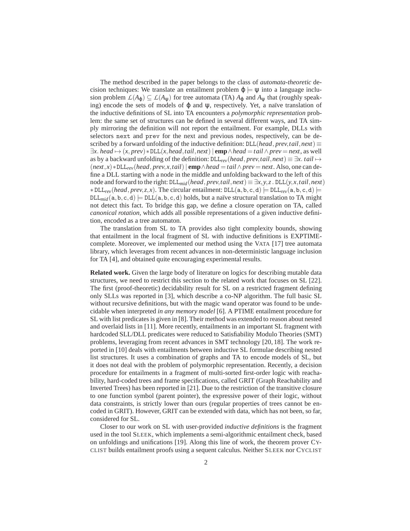The method described in the paper belongs to the class of *automata-theoretic* decision techniques: We translate an entailment problem  $\varphi = \psi$  into a language inclusion problem  $L(A_{\varphi}) \subseteq L(A_{\psi})$  for tree automata (TA)  $A_{\varphi}$  and  $A_{\psi}$  that (roughly speaking) encode the sets of models of  $\varphi$  and  $\psi$ , respectively. Yet, a naïve translation of the inductive definitions of SL into TA encounters a *polymorphic representation* problem: the same set of structures can be defined in several different ways, and TA simply mirroring the definition will not report the entailment. For example, DLLs with selectors next and prev for the next and previous nodes, respectively, can be described by a forward unfolding of the inductive definition:  $DLL(head, prev, tail, next) \equiv$ ∃*x*. *head* 7→ (*x*, *prev*)∗DLL(*x*,*head*,*tail*,*next*)| **emp**∧*head* =*tail*∧*prev* = *next*, as well as by a backward unfolding of the definition:  $DLL_{rev}(head, prev, tail, next) \equiv \exists x. \ tail \mapsto$ (*next*,*x*)∗DLL*rev*(*head*, *prev*,*x*,*tail*)| **emp**∧*head* =*tail*∧*prev* = *next*. Also, one can define a DLL starting with a node in the middle and unfolding backward to the left of this node and forward to the right:  $DLL_{mid}(head, prev, tail, next) \equiv \exists x, y, z$ .  $DLL(y, x, tail, next)$  $*$  DLL<sub>rev</sub>(head, prev,*z*,*x*). The circular entailment: DLL(a, b, c, d)  $\models$  DLL<sub>rev</sub>(a, b, c, d)  $\models$  $DL_{mid}(a, b, c, d) \models DL(a, b, c, d)$  holds, but a naïve structural translation to TA might not detect this fact. To bridge this gap, we define a closure operation on TA, called *canonical rotation*, which adds all possible representations of a given inductive definition, encoded as a tree automaton.

The translation from SL to TA provides also tight complexity bounds, showing that entailment in the local fragment of SL with inductive definitions is EXPTIMEcomplete. Moreover, we implemented our method using the VATA [17] tree automata library, which leverages from recent advances in non-deterministic language inclusion for TA [4], and obtained quite encouraging experimental results.

**Related work.** Given the large body of literature on logics for describing mutable data structures, we need to restrict this section to the related work that focuses on SL [22]. The first (proof-theoretic) decidability result for SL on a restricted fragment defining only SLLs was reported in [3], which describe a co-NP algorithm. The full basic SL without recursive definitions, but with the magic wand operator was found to be undecidable when interpreted *in any memory model* [6]. A PTIME entailment procedure for SL with list predicates is given in [8]. Their method was extended to reason about nested and overlaid lists in [11]. More recently, entailments in an important SL fragment with hardcoded SLL/DLL predicates were reduced to Satisfiability Modulo Theories (SMT) problems, leveraging from recent advances in SMT technology [20, 18]. The work reported in [10] deals with entailments between inductive SL formulae describing nested list structures. It uses a combination of graphs and TA to encode models of SL, but it does not deal with the problem of polymorphic representation. Recently, a decision procedure for entailments in a fragment of multi-sorted first-order logic with reachability, hard-coded trees and frame specifications, called GRIT (Graph Reachability and Inverted Trees) has been reported in [21]. Due to the restriction of the transitive closure to one function symbol (parent pointer), the expressive power of their logic, without data constraints, is strictly lower than ours (regular properties of trees cannot be encoded in GRIT). However, GRIT can be extended with data, which has not been, so far, considered for SL.

Closer to our work on SL with user-provided *inductive definitions* is the fragment used in the tool SLEEK, which implements a semi-algorithmic entailment check, based on unfoldings and unifications [19]. Along this line of work, the theorem prover CY-CLIST builds entailment proofs using a sequent calculus. Neither SLEEK nor CYCLIST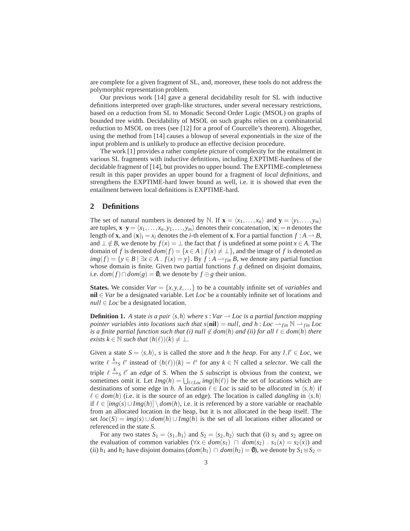are complete for a given fragment of SL, and, moreover, these tools do not address the polymorphic representation problem.

Our previous work [14] gave a general decidability result for SL with inductive definitions interpreted over graph-like structures, under several necessary restrictions, based on a reduction from SL to Monadic Second Order Logic (MSOL) on graphs of bounded tree width. Decidability of MSOL on such graphs relies on a combinatorial reduction to MSOL on trees (see [12] for a proof of Courcelle's theorem). Altogether, using the method from [14] causes a blowup of several exponentials in the size of the input problem and is unlikely to produce an effective decision procedure.

The work [1] provides a rather complete picture of complexity for the entailment in various SL fragments with inductive definitions, including EXPTIME-hardness of the decidable fragment of [14], but provides no upper bound. The EXPTIME-completeness result in this paper provides an upper bound for a fragment of *local definitions*, and strengthens the EXPTIME-hard lower bound as well, i.e. it is showed that even the entailment between local definitions is EXPTIME-hard.

## **2 Definitions**

The set of natural numbers is denoted by N. If  $\mathbf{x} = \langle x_1, \ldots, x_n \rangle$  and  $\mathbf{y} = \langle y_1, \ldots, y_m \rangle$ are tuples,  $\mathbf{x} \cdot \mathbf{y} = \langle x_1, \dots, x_n, y_1, \dots, y_m \rangle$  denotes their concatenation,  $|\mathbf{x}| = n$  denotes the length of **x**, and  $(\mathbf{x})_i = x_i$  denotes the *i*-th element of **x**. For a partial function  $f : A \to B$ , and  $\perp \notin B$ , we denote by  $f(x) = \perp$  the fact that *f* is undefined at some point  $x \in A$ . The domain of *f* is denoted  $dom(f) = \{x \in A \mid f(x) \neq \bot\}$ , and the image of *f* is denoted as *img*(*f*) = {*y* ∈ *B* | ∃*x* ∈ *A* . *f*(*x*) = *y*}. By *f* : *A* → *f*<sub>in</sub> *B*, we denote any partial function whose domain is finite. Given two partial functions *f*,*g* defined on disjoint domains, i.e.  $dom(f) \cap dom(g) = ∅$ , we denote by  $f \oplus g$  their union.

**States.** We consider  $Var = \{x, y, z, \ldots\}$  to be a countably infinite set of *variables* and **nil** ∈ *Var* be a designated variable. Let *Loc* be a countably infinite set of locations and *null* ∈ *Loc* be a designated location.

**Definition 1.** *A* state *is a pair*  $\langle s, h \rangle$  *where s* : *Var*  $\rightarrow$  *Loc is a partial function mapping pointer variables into locations such that s*(**nil**) = *null, and h* : *Loc*  $\rightarrow$   $_{fin}$  N  $\rightarrow$   $_{fin}$  *Loc is a finite partial function such that (i) null*  $\notin dom(h)$  *and (ii) for all*  $\ell \in dom(h)$  *there exists*  $k \in \mathbb{N}$  *such that*  $(h(\ell))(k) \neq \bot$ *.* 

Given a state  $S = \langle s, h \rangle$ , *s* is called the *store* and *h* the *heap*. For any  $l, l' \in Loc$ , we write  $\ell \xrightarrow{k} \ell'$  instead of  $(h(\ell))(k) = \ell'$  for any  $k \in \mathbb{N}$  called a *selector*. We call the triple  $\ell \stackrel{k}{\rightarrow} _S \ell'$  an *edge* of *S*. When the *S* subscript is obvious from the context, we sometimes omit it. Let  $Img(h) = \bigcup_{\ell \in Loc} img(h(\ell))$  be the set of locations which are destinations of some edge in *h*. A location  $\ell \in Loc$  is said to be *allocated* in  $\langle s, h \rangle$  if  $\ell \in dom(h)$  (i.e. it is the source of an edge). The location is called *dangling* in  $\langle s,h \rangle$ if  $\ell \in [img(s) \cup Imp(h)] \setminus dom(h)$ , i.e. it is referenced by a store variable or reachable from an allocated location in the heap, but it is not allocated in the heap itself. The set  $loc(S) = img(s) \cup dom(h) \cup Img(h)$  is the set of all locations either allocated or referenced in the state *S*.

For any two states  $S_1 = \langle s_1, h_1 \rangle$  and  $S_2 = \langle s_2, h_2 \rangle$  such that (i)  $s_1$  and  $s_2$  agree on the evaluation of common variables ( $\forall x \in dom(s_1) \cap dom(s_2)$ .  $s_1(x) = s_2(x)$ ) and (ii) *h*<sub>1</sub> and *h*<sub>2</sub> have disjoint domains  $dom(h_1) ∩ dom(h_2) = ∅$ ), we denote by  $S_1 ⊎ S_2 =$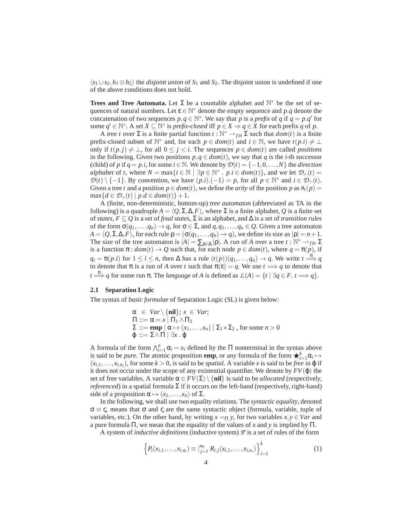$\langle s_1 \cup s_2, h_1 \oplus h_2 \rangle$  the *disjoint union* of  $S_1$  and  $S_2$ . The disjoint union is undefined if one of the above conditions does not hold.

**Trees and Tree Automata.** Let  $\Sigma$  be a countable alphabet and  $\mathbb{N}^*$  be the set of sequences of natural numbers. Let  $\varepsilon \in \mathbb{N}^*$  denote the empty sequence and p.q denote the concatenation of two sequences  $p, q \in \mathbb{N}^*$ . We say that *p* is a *prefix* of *q* if  $q = p.q'$  for some  $q' \in \mathbb{N}^*$ . A set  $X \subseteq \mathbb{N}^*$  is *prefix-closed* iff  $p \in X \Rightarrow q \in X$  for each prefix  $q$  of  $p$ .

A *tree t* over  $\Sigma$  is a finite partial function  $t : \mathbb{N}^* \longrightarrow_{fin} \Sigma$  such that  $dom(t)$  is a finite prefix-closed subset of  $\mathbb{N}^*$  and, for each  $p \in dom(t)$  and  $i \in \mathbb{N}$ , we have  $t(p,i) \neq \bot$ only if  $t(p,j) ≠ ⊥$ , for all  $0 ≤ j < i$ . The sequences  $p ∈ dom(t)$  are called *positions* in the following. Given two positions  $p, q \in dom(t)$ , we say that *q* is the *i*-th successor (child) of *p* if  $q = p.i$ , for some  $i \in \mathbb{N}$ . We denote by  $\mathcal{D}(t) = \{-1, 0, \ldots, N\}$  the *direction alphabet* of *t*, where  $N = \max\{i \in \mathbb{N} \mid \exists p \in \mathbb{N}^* \, : \, p.i \in dom(t)\}$ , and we let  $\mathcal{D}_+(t) =$  $\mathcal{D}(t) \setminus \{-1\}$ . By convention, we have  $(p,i)$ . $(-1) = p$ , for all  $p \in \mathbb{N}^*$  and  $i \in \mathcal{D}_+(t)$ . Given a tree *t* and a position  $p \in dom(t)$ , we define the *arity* of the position *p* as  $#_t(p) =$  $\max\{d \in \mathcal{D}_+(t) \mid p.d \in dom(t)\}+1.$ 

A (finite, non-deterministic, bottom-up) *tree automaton* (abbreviated as TA in the following) is a quadruple  $A = \langle Q, \Sigma, \Delta, F \rangle$ , where  $\Sigma$  is a finite alphabet,  $Q$  is a finite set of *states*,  $F \subseteq Q$  is a set of *final states*,  $\Sigma$  is an alphabet, and  $\Delta$  is a set of *transition rules* of the form  $\sigma(q_1,...,q_n) \to q$ , for  $\sigma \in \Sigma$ , and  $q, q_1,...,q_n \in Q$ . Given a tree automaton  $A = \langle Q, \Sigma, \Delta, F \rangle$ , for each rule  $\rho = (\sigma(q_1, \ldots, q_n) \to q)$ , we define its size as  $|\rho| = n + 1$ . The size of the tree automaton is  $|A| = \sum_{\rho \in \Delta} |\rho|$ . A *run* of *A* over a tree  $t : \mathbb{N}^* \to \mathfrak{m}$   $\Sigma$ is a function  $\pi : dom(t) \to Q$  such that, for each node  $p \in dom(t)$ , where  $q = \pi(p)$ , if  $q_i = \pi(p,i)$  for  $1 \le i \le n$ , then  $\Delta$  has a rule  $(t(p))(q_1,\ldots,q_n) \to q$ . We write  $t \stackrel{\pi}{\Longrightarrow} q$ to denote that  $\pi$  is a run of *A* over *t* such that  $\pi(\varepsilon) = q$ . We use  $t \implies q$  to denote that  $t \stackrel{\pi}{\Longrightarrow} q$  for some run  $\pi$ . The *language* of *A* is defined as  $L(A) = \{t \mid \exists q \in F, t \Longrightarrow q\}.$ 

#### **2.1 Separation Logic**

The syntax of *basic formulae* of Separation Logic (SL) is given below:

$$
\alpha \in Var \setminus {\textbf{nil}}; x \in Var;
$$
  
\n
$$
\Pi ::= \alpha = x | \Pi_1 \wedge \Pi_2
$$
  
\n
$$
\Sigma ::= \textbf{emp} | \alpha \mapsto (x_1, \dots, x_n) | \Sigma_1 * \Sigma_2 \text{, for some } n > 0
$$
  
\n
$$
\varphi ::= \Sigma \wedge \Pi | \exists x. \varphi
$$

A formula of the form  $\bigwedge_{i=1}^{n} \alpha_i = x_i$  defined by the  $\Pi$  nonterminal in the syntax above is said to be *pure*. The atomic proposition **emp**, or any formula of the form  $\bigstar_{i=1}^{k} \alpha_i \mapsto$  $(x_{i,1},...,x_{i,n_i})$ , for some  $k > 0$ , is said to be *spatial*. A variable *x* is said to be *free* in  $\varphi$  if it does not occur under the scope of any existential quantifier. We denote by  $FV(\varphi)$  the set of free variables. A variable  $\alpha \in FV(\Sigma) \setminus \{\text{nil}\}\$ is said to be *allocated* (respectively, *referenced*) in a spatial formula Σ if it occurs on the left-hand (respectively, right-hand) side of a proposition  $\alpha \mapsto (x_1,\ldots,x_n)$  of  $\Sigma$ .

In the following, we shall use two equality relations. The *syntactic equality*, denoted  $\sigma \equiv \zeta$ , means that  $\sigma$  and  $\zeta$  are the same syntactic object (formula, variable, tuple of variables, etc.). On the other hand, by writing  $x = \Pi y$ , for two variables  $x, y \in Var$  and a pure formula Π, we mean that the equality of the values of *x* and *y* is implied by Π.

A system of *inductive definitions* (inductive system) *P* is a set of rules of the form

$$
\left\{P_i(x_{i,1},\ldots,x_{i,n_i})\equiv\big|_{j=1}^{m_i} R_{i,j}(x_{i,1},\ldots,x_{i,n_i})\right\}_{i=1}^k
$$
 (1)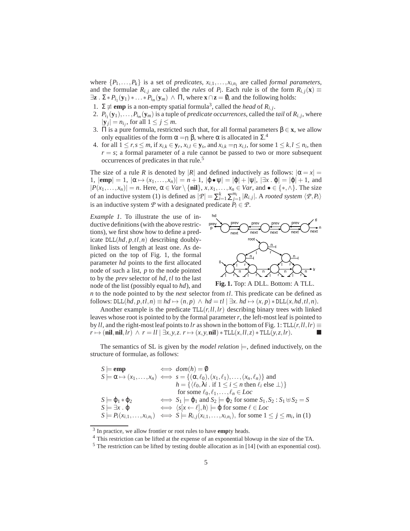where  $\{P_1, \ldots, P_k\}$  is a set of *predicates*,  $x_{i,1}, \ldots, x_{i,n_i}$  are called *formal parameters*, and the formulae  $R_{i,j}$  are called the *rules* of  $P_i$ . Each rule is of the form  $R_{i,j}(\mathbf{x}) \equiv$  $\exists z \cdot \Sigma * P_{i_1}(y_1) * \ldots * P_{i_m}(y_m) \land \Pi$ , where  $x \cap z = \emptyset$ , and the following holds:

- 1.  $\Sigma$   $\not\equiv$  **emp** is a non-empty spatial formula<sup>3</sup>, called the *head* of *R*<sub>*i*, *j*</sub>.
- 2.  $P_{i_1}(\mathbf{y}_1), \ldots, P_{i_m}(\mathbf{y}_m)$  is a tuple of *predicate occurrences*, called the *tail* of  $R_{i,j}$ , where  $|\mathbf{y}_j| = n_{i_j}$ , for all  $1 \leq j \leq m$ .
- 3. Π is a pure formula, restricted such that, for all formal parameters  $\beta \in \mathbf{x}$ , we allow only equalities of the form  $\alpha = \Pi \beta$ , where  $\alpha$  is allocated in  $\Sigma$ .<sup>4</sup>
- 4. for all  $1 \le r, s \le m$ , if  $x_{i,k} \in \mathbf{y}_r, x_{i,l} \in \mathbf{y}_s$ , and  $x_{i,k} = \prod x_{i,l}$ , for some  $1 \le k, l \le n_i$ , then  $r = s$ ; a formal parameter of a rule cannot be passed to two or more subsequent occurrences of predicates in that rule.<sup>5</sup>

The size of a rule *R* is denoted by |*R*| and defined inductively as follows:  $|\alpha = x|$  = 1,  $|\mathbf{emp}| = 1$ ,  $|\alpha \mapsto (x_1,\ldots,x_n)| = n+1$ ,  $|\varphi \bullet \psi| = |\varphi| + |\psi|$ ,  $|\exists x \cdot \varphi| = |\varphi| + 1$ , and  $|P(x_1,...,x_n)| = n$ . Here,  $\alpha \in Var \setminus {\{\text{nil}\}, x, x_1,...,x_n \in Var, \text{ and } \bullet \in {\{\text{*}}, \land\}}$ . The size of an inductive system (1) is defined as  $|\mathcal{P}| = \sum_{i=1}^{k} \sum_{j=1}^{m_i} |R_{i,j}|$ . A *rooted system*  $\langle \mathcal{P}, P_i \rangle$ is an inductive system  $P$  with a designated predicate  $P_i \in P$ .

*Example 1.* To illustrate the use of inductive definitions (with the above restrictions), we first show how to define a predicate  $DLL(hd, p, tl, n)$  describing doublylinked lists of length at least one. As depicted on the top of Fig. 1, the formal parameter *hd* points to the first allocated node of such a list, *p* to the node pointed to by the *prev* selector of *hd*, *tl* to the last node of the list (possibly equal to *hd*), and



**Fig. 1.** Top: A DLL. Bottom: A TLL.

*n* to the node pointed to by the *next* selector from *tl*. This predicate can be defined as follows:  $DLL(hd, p, tl, n) \equiv hd \mapsto (n, p) \land hd = tl \mid \exists x. hd \mapsto (x, p) * DLL(x, hd, tl, n).$ 

Another example is the predicate  $TLL(r, l, l, r)$  describing binary trees with linked leaves whose root is pointed to by the formal parameter*r*, the left-most leaf is pointed to by *ll*, and the right-most leaf points to *lr* as shown in the bottom of Fig. 1: TLL(*r*, *ll*, *lr*)  $\equiv$  $r \mapsto (\textbf{nil}, \textbf{nil}, lr) \land r = l \cdot l \mid \exists x, y, z, r \mapsto (x, y, \textbf{nil}) * \text{TLL}(x, l \cdot l, z) * \text{TLL}(y, z, lr).$ 

The semantics of SL is given by the *model relation*  $\models$ , defined inductively, on the structure of formulae, as follows:

$$
S \models \textbf{emp} \iff dom(h) = 0
$$
  
\n
$$
S \models \alpha \mapsto (x_1, \dots, x_n) \iff s = \{(\alpha, \ell_0), (x_1, \ell_1), \dots, (x_n, \ell_n)\} \text{ and }
$$
  
\n
$$
h = \{(\ell_0, \lambda i \text{ if } 1 \le i \le n \text{ then } \ell_i \text{ else } \bot) \}
$$
  
\nfor some  $\ell_0, \ell_1, \dots, \ell_n \in Loc$   
\n
$$
S \models \varphi_1 * \varphi_2 \iff S_1 \models \varphi_1 \text{ and } S_2 \models \varphi_2 \text{ for some } S_1, S_2 : S_1 \Downarrow S_2 = S
$$
  
\n
$$
S \models \exists x \cdot \varphi \iff \langle s[x \leftarrow \ell], h \rangle \models \varphi \text{ for some } \ell \in Loc
$$
  
\n
$$
S \models P_i(x_{i,1}, \dots, x_{i,n_i}) \iff S \models R_{i,j}(x_{i,1}, \dots, x_{i,n_i}), \text{ for some } 1 \le j \le m_i, \text{ in (1)}
$$

<sup>3</sup> In practice, we allow frontier or root rules to have **emp**ty heads.

<sup>4</sup> This restriction can be lifted at the expense of an exponential blowup in the size of the TA.

<sup>5</sup> The restriction can be lifted by testing double allocation as in [14] (with an exponential cost).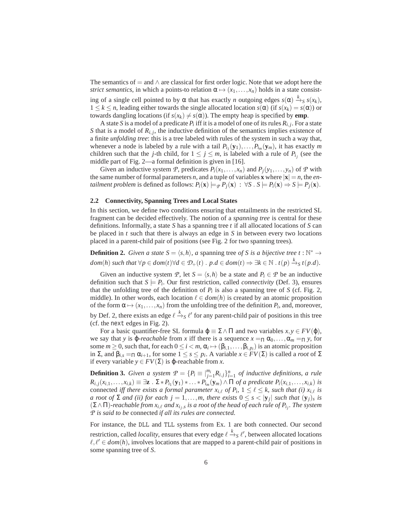The semantics of = and  $\land$  are classical for first order logic. Note that we adopt here the *strict semantics*, in which a points-to relation  $\alpha \mapsto (x_1, \ldots, x_n)$  holds in a state consisting of a single cell pointed to by  $\alpha$  that has exactly *n* outgoing edges  $s(\alpha) \stackrel{k}{\rightarrow} s s(x_k)$ ,  $1 \leq k \leq n$ , leading either towards the single allocated location  $s(\alpha)$  (if  $s(x_k) = s(\alpha)$ ) or towards dangling locations (if  $s(x_k) \neq s(\alpha)$ ). The empty heap is specified by **emp**.

A state *S* is a model of a predicate  $P_i$  iff it is a model of one of its rules  $R_{i,j}$ . For a state *S* that is a model of  $R_{i,j}$ , the inductive definition of the semantics implies existence of a finite *unfolding tree*: this is a tree labeled with rules of the system in such a way that, whenever a node is labeled by a rule with a tail  $P_{i_1}(\mathbf{y}_1), \ldots, P_{i_m}(\mathbf{y}_m)$ , it has exactly *m* children such that the *j*-th child, for  $1 \le j \le m$ , is labeled with a rule of  $P_{i_j}$  (see the middle part of Fig. 2—a formal definition is given in [16].

Given an inductive system *P*, predicates  $P_i(x_1,...,x_n)$  and  $P_j(y_1,...,y_n)$  of *P* with the same number of formal parameters *n*, and a tuple of variables **x** where  $|\mathbf{x}| = n$ , the *entailment problem* is defined as follows:  $P_i(\mathbf{x}) \models_P P_j(\mathbf{x}) : \forall S \cdot S \models P_i(\mathbf{x}) \Rightarrow S \models P_j(\mathbf{x})$ .

#### **2.2 Connectivity, Spanning Trees and Local States**

In this section, we define two conditions ensuring that entailments in the restricted SL fragment can be decided effectively. The notion of a *spanning tree* is central for these definitions. Informally, a state *S* has a spanning tree *t* if all allocated locations of *S* can be placed in *t* such that there is always an edge in *S* in between every two locations placed in a parent-child pair of positions (see Fig. 2 for two spanning trees).

**Definition 2.** *Given a state*  $S = \langle s, h \rangle$ , *a* spanning tree *of S* is *a bijective tree t* :  $\mathbb{N}^* \to$  $dom(h)$  such that  $\forall p \in dom(t) \forall d \in \mathcal{D}_+(t)$ .  $p.d \in dom(t) \Rightarrow \exists k \in \mathbb{N}$ .  $t(p) \xrightarrow{k} s t(p.d)$ .

Given an inductive system *P*, let  $S = \langle s, h \rangle$  be a state and  $P_i \in \mathcal{P}$  be an inductive definition such that  $S \models P_i$ . Our first restriction, called *connectivity* (Def. 3), ensures that the unfolding tree of the definition of  $P_i$  is also a spanning tree of *S* (cf. Fig. 2, middle). In other words, each location  $\ell \in dom(h)$  is created by an atomic proposition of the form  $\alpha \mapsto (x_1,\ldots,x_n)$  from the unfolding tree of the definition  $P_i$ , and, moreover, by Def. 2, there exists an edge  $\ell \stackrel{k}{\to} s \ell'$  for any parent-child pair of positions in this tree (cf. the next edges in Fig. 2).

For a basic quantifier-free SL formula  $\varphi \equiv \Sigma \wedge \Pi$  and two variables  $x, y \in FV(\varphi)$ , we say that *y* is  $\varphi$ -*reachable* from *x* iff there is a sequence  $x = \Pi \alpha_0, \dots, \alpha_m = \Pi y$ , for some  $m \ge 0$ , such that, for each  $0 \le i < m$ ,  $\alpha_i \mapsto (\beta_{i,1}, \ldots, \beta_{i,p_i})$  is an atomic proposition in  $\Sigma$ , and  $\beta_{i,s} = \Pi \alpha_{i+1}$ , for some  $1 \leq s \leq p_i$ . A variable  $x \in FV(\Sigma)$  is called a *root* of  $\Sigma$ if every variable *y* ∈ *FV*(Σ) is ϕ-reachable from *x*.

**Definition 3.** *Given a system*  $P = \{P_i \equiv \big|_{j=1}^{m_i} R_{i,j}\}_{i=1}^n$  *of inductive definitions, a rule*  $R_{i,j}(x_{i,1},\ldots,x_{i,k})\equiv \exists \mathbf{z}\,.\,\Sigma*P_{i_1}(\mathbf{y}_1)*\ldots*P_{i_m}(\mathbf{y}_m)\wedge\Pi$  of a predicate  $P_i(x_{i,1},\ldots,x_{i,k})$  is connected *iff there exists a formal parameter*  $x_{i,\ell}$  *of*  $P_i$ ,  $1 \leq \ell \leq k$ , such that (i)  $x_{i,\ell}$  is *a* root of  $\Sigma$  and (ii) for each  $j = 1, \ldots, m$ , there exists  $0 \le s < |y_j|$  such that  $(y_j)_s$  is (Σ∧Π)*-reachable from xi*,ℓ *and xi<sup>j</sup>* ,*s is a root of the head of each rule of Pi<sup>j</sup> . The system P is said to be* connected *if all its rules are connected.*

For instance, the DLL and TLL systems from Ex. 1 are both connected. Our second restriction, called *locality*, ensures that every edge  $\ell \xrightarrow{k} \ell'$ , between allocated locations  $\ell, \ell' \in dom(h)$ , involves locations that are mapped to a parent-child pair of positions in some spanning tree of *S*.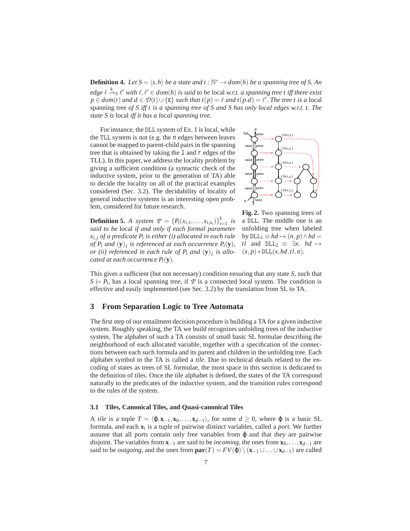**Definition 4.** Let  $S = \langle s, h \rangle$  be a state and  $t : \mathbb{N}^* \to dom(h)$  be a spanning tree of S. An  $edge \ell \xrightarrow{k} \ell'$  with  $\ell, \ell' \in dom(h)$  is said to be local w.r.t. a spanning tree t iff there exist  $p \in dom(t)$  *and*  $d \in \mathcal{D}(t) \cup \{\varepsilon\}$  *such that*  $t(p) = \ell$  *and*  $t(p.d) = \ell'$ . The tree t is a local spanning tree *of S iff t is a spanning tree of S and S has only local edges w.r.t. t. The state S is* local *iff it has a local spanning tree.*

For instance, the DLL system of Ex. 1 is local, while the TLL system is not (e.g. the n edges between leaves cannot be mapped to parent-child pairs in the spanning tree that is obtained by taking the l and r edges of the TLL). In this paper, we address the locality problem by giving a sufficient condition (a syntactic check of the inductive system, prior to the generation of TA) able to decide the locality on all of the practical examples considered (Sec. 3.2). The decidability of locality of general inductive systems is an interesting open problem, considered for future research.



**Definition 5.** *A* system  $P = \{P_i(x_{i,1},...,x_{i,n_i})\}_{i=1}^k$  is *said to be* local *if and only if each formal parameter xi*, *<sup>j</sup> of a predicate P<sup>i</sup> is either (i) allocated in each rule of*  $P_i$  *and*  $(y)_j$  *is referenced at each occurrence*  $P_i(y)$ *, or (ii) referenced in each rule of P<sup>i</sup> and* (**y**)*<sup>j</sup> is allocated at each occurrence Pi*(**y**)*.*

**Fig. 2.** Two spanning trees of a DLL. The middle one is an unfolding tree when labeled by  $DLL_1 \equiv hd \mapsto (n, p) \wedge hd =$ *tl* and  $DLL_2 \equiv \exists x$ . *hd*  $\mapsto$  $(x, p) * DLL(x, hd, tl, n).$ 

This gives a sufficient (but not necessary) condition ensuring that any state *S*, such that  $S \models P_i$ , has a local spanning tree, if  $\overrightarrow{P}$  is a connected local system. The condition is effective and easily implemented (see Sec. 3.2) by the translation from SL to TA.

## **3 From Separation Logic to Tree Automata**

The first step of our entailment decision procedure is building a TA for a given inductive system. Roughly speaking, the TA we build recognizes unfolding trees of the inductive system. The alphabet of such a TA consists of small basic SL formulae describing the neighborhood of each allocated variable, together with a specification of the connections between each such formula and its parent and children in the unfolding tree. Each alphabet symbol in the TA is called a *tile*. Due to technical details related to the encoding of states as trees of SL formulae, the most space in this section is dedicated to the definition of tiles. Once the tile alphabet is defined, the states of the TA correspond naturally to the predicates of the inductive system, and the transition rules correspond to the rules of the system.

#### **3.1 Tiles, Canonical Tiles, and Quasi-canonical Tiles**

A *tile* is a tuple  $T = \langle \varphi, \mathbf{x}_{-1}, \mathbf{x}_0, \dots, \mathbf{x}_{d-1} \rangle$ , for some  $d \geq 0$ , where  $\varphi$  is a basic SL formula, and each **x***<sup>i</sup>* is a tuple of pairwise distinct variables, called a *port*. We further assume that all ports contain only free variables from  $\varphi$  and that they are pairwise disjoint. The variables from **x**−<sup>1</sup> are said to be *incoming*, the ones from **x**0,...,**x***d*−<sup>1</sup> are said to be *outgoing*, and the ones from  $\textbf{par}(T) = FV(\phi) \setminus (\mathbf{x}_{-1} \cup ... \cup \mathbf{x}_{d-1})$  are called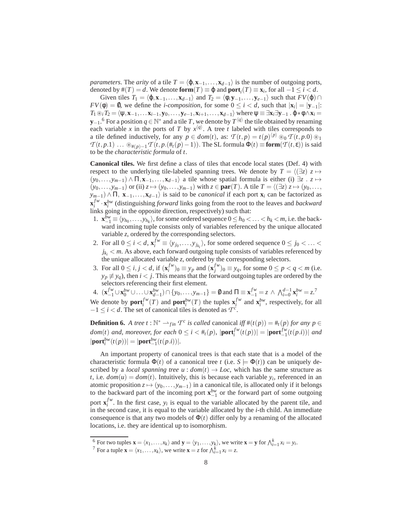*parameters*. The *arity* of a tile  $T = \langle \varphi, x_{-1},...,x_{d-1} \rangle$  is the number of outgoing ports, denoted by  $\#(T) = d$ . We denote  $\textbf{form}(T) \equiv \varphi$  and  $\textbf{port}_i(T) \equiv \mathbf{x}_i$ , for all  $-1 \leq i < d$ .

Given tiles  $T_1 = \langle \varphi, \mathbf{x}_{-1}, \ldots, \mathbf{x}_{d-1} \rangle$  and  $T_2 = \langle \varphi, \mathbf{y}_{-1}, \ldots, \mathbf{y}_{e-1} \rangle$  such that  $FV(\varphi) \cap$  $FV(\phi) = \emptyset$ , we define the *i-composition*, for some  $0 \le i < d$ , such that  $|\mathbf{x}_i| = |\mathbf{y}_{-1}|$ :  $T_1 \circledast_i T_2 = \langle \psi, \mathbf{x}_{-1}, \dots, \mathbf{x}_{i-1}, \mathbf{y}_0, \dots, \mathbf{y}_{e-1}, \mathbf{x}_{i+1}, \dots, \mathbf{x}_{d-1} \rangle$  where  $\psi \equiv \exists \mathbf{x}_i \exists \mathbf{y}_{-1} \cdot \phi * \phi \wedge \mathbf{x}_i =$ **y**−1.<sup>6</sup> For a position  $q \in \mathbb{N}^*$  and a tile *T*, we denote by  $T^{\langle q \rangle}$  the tile obtained by renaming each variable *x* in the ports of *T* by  $x^{(q)}$ . A tree *t* labeled with tiles corresponds to a tile defined inductively, for any  $p \in dom(t)$ , as:  $T(t, p) = t(p)^{\langle p \rangle} \otimes_0 T(t, p.0) \otimes_1$  $T(t, p.1)$  ...  $\mathcal{B}_{\#(p)-1}$  *T*  $(t, p.(\#_t(p)-1))$ . The SL formula  $\Phi(t) \equiv \textbf{form}(T(t, \varepsilon))$  is said to be the *characteristic formula* of *t*.

**Canonical tiles.** We first define a class of tiles that encode local states (Def. 4) with respect to the underlying tile-labeled spanning trees. We denote by  $T = \langle (\exists z) z \mapsto$  $(y_0,...,y_{m-1}) \wedge \Pi, \mathbf{x}_{-1},..., \mathbf{x}_{d-1}$  a tile whose spatial formula is either (i)  $\exists z : z \mapsto$  $(y_0, \ldots, y_{m-1})$  or (ii)  $z \mapsto (y_0, \ldots, y_{m-1})$  with  $z \in \textbf{par}(T)$ . A tile  $T = \langle (\exists z) \ z \mapsto (y_0, \ldots, y_m) \rangle$  $y_{m-1}$ )  $\wedge \Pi$ , **x**<sub>−1</sub>,...,**x**<sub>*d*−1</sub> $\rangle$  is said to be *canonical* if each port **x**<sub>*i*</sub> can be factorized as  $\mathbf{x}_i^{f_w} \cdot \mathbf{x}_i^{b_w}$  (distinguishing *forward* links going from the root to the leaves and *backward* links going in the opposite direction, respectively) such that:

- 1.  $\mathbf{x}_{-1}^{bw} \equiv \langle y_{h_0}, \ldots, y_{h_k} \rangle$ , for some ordered sequence  $0 \leq h_0 < \ldots < h_k < m$ , i.e. the backward incoming tuple consists only of variables referenced by the unique allocated variable *z*, ordered by the corresponding selectors.
- 2. For all  $0 \le i < d$ ,  $\mathbf{x}_i^{fw} \equiv \langle y_{j_0}, \dots, y_{j_{k_i}} \rangle$ , for some ordered sequence  $0 \le j_0 < \dots <$  $j_{k_i}$   $<$  *m*. As above, each forward outgoing tuple consists of variables referenced by the unique allocated variable *z*, ordered by the corresponding selectors.
- 3. For all  $0 \le i, j < d$ , if  $(\mathbf{x}_i^{fw})_0 \equiv y_p$  and  $(\mathbf{x}_j^{fw})_0 \equiv y_q$ , for some  $0 \le p < q < m$  (i.e.  $y_p \not\equiv y_q$ , then *i* < *j*. This means that the forward outgoing tuples are ordered by the selectors referencing their first element.

4.  $(\mathbf{x}_{-1}^{fw} \cup \mathbf{x}_0^{bw} \cup ... \cup \mathbf{x}_{d-1}^{bw}) \cap \{y_0, ..., y_{m-1}\} = \emptyset$  and  $\Pi \equiv \mathbf{x}_{-1}^{fw} = z \wedge \bigwedge_{i=0}^{d-1} \mathbf{x}_i^{bw} = z$ . We denote by  $\textbf{port}_i^{fw}(T)$  and  $\textbf{port}_i^{bw}(T)$  the tuples  $\mathbf{x}_i^{fw}$  and  $\mathbf{x}_i^{bw}$ , respectively, for all  $-1 \leq i < d$ . The set of canonical tiles is denoted as  $T_c^c$ .

**Definition 6.** *A tree t* :  $\mathbb{N}^* \longrightarrow_{fin} T^c$  *is called* canonical *iff*  $#(t(p)) = #_t(p)$  *for any*  $p \in$ *dom*(*t*) *and, moreover, for each*  $0 \le i < #_t(p)$ ,  $|\textbf{port}_i^{fw}(t(p))| = |\textbf{port}_{-1}^{fw}(t(p.i))|$  *and*  $|\textbf{port}^{bw}_{i}(t(p))| = |\textbf{port}^{bw}_{-1}(t(p.i))|$ .

An important property of canonical trees is that each state that is a model of the characteristic formula  $\Phi(t)$  of a canonical tree *t* (i.e.  $S \models \Phi(t)$ ) can be uniquely described by a *local spanning tree u* :  $dom(t) \rightarrow Loc$ , which has the same structure as *t*, i.e.  $dom(u) = dom(t)$ . Intuitively, this is because each variable  $y_i$ , referenced in an atomic proposition  $z \mapsto (y_0, \ldots, y_{m-1})$  in a canonical tile, is allocated only if it belongs to the backward part of the incoming port  $\mathbf{x}_{-1}^{bw}$  or the forward part of some outgoing port  $\mathbf{x}_i^{fw}$ . In the first case,  $y_i$  is equal to the variable allocated by the parent tile, and in the second case, it is equal to the variable allocated by the *i*-th child. An immediate consequence is that any two models of  $\Phi(t)$  differ only by a renaming of the allocated locations, i.e. they are identical up to isomorphism.

 $\sum_{i=1}^{6}$  For two tuples  $\mathbf{x} = \langle x_1, \ldots, x_k \rangle$  and  $\mathbf{y} = \langle y_1, \ldots, y_k \rangle$ , we write  $\mathbf{x} = \mathbf{y}$  for  $\bigwedge_{i=1}^{k} x_i = y_i$ .

<sup>&</sup>lt;sup>7</sup> For a tuple  $\mathbf{x} = \langle x_1, \dots, x_k \rangle$ , we write  $\mathbf{x} = z$  for  $\bigwedge_{i=1}^k x_i = z$ .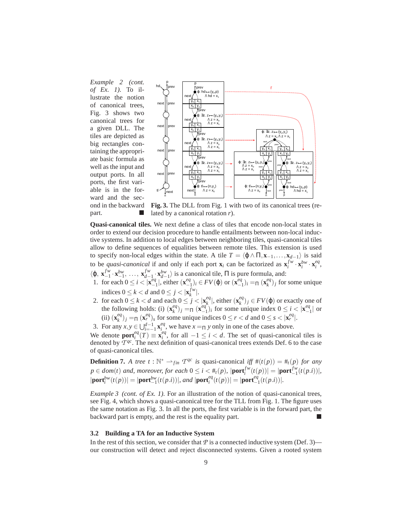*Example 2 (cont. of Ex. 1).* To illustrate the notion of canonical trees, Fig. 3 shows two canonical trees for a given DLL. The tiles are depicted as big rectangles containing the appropriate basic formula as well as the input and output ports. In all ports, the first variable is in the forward and the second in the backward part.



**Fig. 3.** The DLL from Fig. 1 with two of its canonical trees (related by a canonical rotation *r*).

**Quasi-canonical tiles.** We next define a class of tiles that encode non-local states in order to extend our decision procedure to handle entailments between non-local inductive systems. In addition to local edges between neighboring tiles, quasi-canonical tiles allow to define sequences of equalities between remote tiles. This extension is used to specify non-local edges within the state. A tile  $T = \langle \phi \land \Pi, \mathbf{x}_{-1}, \dots, \mathbf{x}_{d-1} \rangle$  is said to be *quasi-canonical* if and only if each port  $\mathbf{x}_i$  can be factorized as  $\mathbf{x}_i^{f_w} \cdot \mathbf{x}_i^{b_w} \cdot \mathbf{x}_i^{eq}$  $\langle \phi, \mathbf{x}_{-1}^{fw} \rangle$  $f_{-1}^{fw} \cdot \mathbf{x}_{-1}^{bw}, \ldots, \mathbf{x}_{d-1}^{fw}$  $\int_{d-1}^{fw} \cdot \mathbf{x}_{d-1}^{bw}$  is a canonical tile,  $\Pi$  is pure formula, and:

- 1. for each  $0 \le i < |\mathbf{x}_{-}^{eq}|$  $\begin{bmatrix} e_q \\ -1 \end{bmatrix}$ , either  $(\mathbf{x}_-^{eq})$  $\binom{eq}{-1}$ *i* ∈ *FV*( $\varphi$ ) or (**x**<sup>*eq*</sup>  $\binom{eq}{-1}$ *i* =Π (**x**<sup>eq</sup></sub>  ${k^{eq}}_k$ )<sub>*j*</sub> for some unique indices  $0 \le k < d$  and  $0 \le j < |\mathbf{x}_{k}^{f w}|$ .
- 2. for each  $0 \le k < d$  and each  $0 \le j < |\mathbf{x}_k^{\ne q}|$  $\left[\mathbf{x}_{k}^{eq}\right]$ , either  $\left(\mathbf{x}_{k}^{eq}\right)$  $\binom{eq}{k}$ *j* ∈ *FV*( $\varphi$ ) or exactly one of the following holds: (i)  $(\mathbf{x}_k^{eq})$  $\binom{eq}{k}$ *j* = Π (**x**<sup>eq</sup>  $\begin{bmatrix}eq_1\\-1\end{bmatrix}$ *i* for some unique index  $0 \le i < |\mathbf{x}_{-}^{eq}|$  $\begin{array}{c} eq \\ -1 \end{array}$  or (ii)  $(\mathbf{x}_k^{eq})$  $(eq)$ <sub>*j*</sub> =<sub>Π</sub> ( $\mathbf{x}_r^{eq}$ )<sub>*s*</sub> for some unique indices  $0 \le r < d$  and  $0 \le s < |\mathbf{x}_r^{eq}|$ .
- 3. For any  $x, y \in \bigcup_{i=-1}^{d-1} \mathbf{x}_i^{eq}$ , we have  $x = \Pi y$  only in one of the cases above.

We denote  $\text{port}_i^{eq}(T) = \mathbf{x}_i^{eq}$ , for all  $-1 \le i < d$ . The set of quasi-canonical tiles is denoted by  $\overline{T}^{qc}$ . The next definition of quasi-canonical trees extends Def. 6 to the case of quasi-canonical tiles.

**Definition 7.** A tree  $t : \mathbb{N}^* \longrightarrow_{fin} T^{qc}$  is quasi-canonical iff  $\#(t(p)) = \#_t(p)$  for any  $p \in dom(t)$  and, moreover, for each  $0 \leq i < #_t(p)$ ,  $|\text{port}_i^{fw}(t(p))| = |\text{port}_{-1}^{fw}(t(p.i))|$ ,  $|\textbf{port}^{bw}_{i}(t(p))| = |\textbf{port}^{bw}_{-1}(t(p.i))|$ , and  $|\textbf{port}^{eq}_{i}(t(p))| = |\textbf{port}^{eq}_{-1}(t(p.i))|$ .

*Example 3 (cont. of Ex. 1).* For an illustration of the notion of quasi-canonical trees, see Fig. 4, which shows a quasi-canonical tree for the TLL from Fig. 1. The figure uses the same notation as Fig. 3. In all the ports, the first variable is in the forward part, the backward part is empty, and the rest is the equality part.

#### **3.2 Building a TA for an Inductive System**

In the rest of this section, we consider that  $P$  is a connected inductive system (Def. 3) our construction will detect and reject disconnected systems. Given a rooted system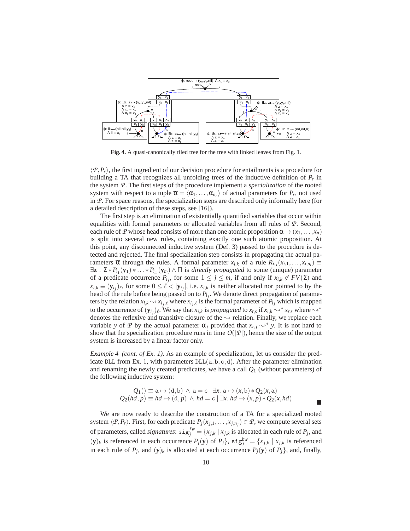

**Fig. 4.** A quasi-canonically tiled tree for the tree with linked leaves from Fig. 1.

 $\langle P, P_r \rangle$ , the first ingredient of our decision procedure for entailments is a procedure for building a TA that recognizes all unfolding trees of the inductive definition of *P<sup>r</sup>* in the system *P*. The first steps of the procedure implement a *specialization* of the rooted system with respect to a tuple  $\overline{\alpha} = \langle \alpha_1, \ldots, \alpha_{n_r} \rangle$  of actual parameters for  $P_r$ , not used in *P*. For space reasons, the specialization steps are described only informally here (for a detailed description of these steps, see [16]).

The first step is an elimination of existentially quantified variables that occur within equalities with formal parameters or allocated variables from all rules of *P*. Second, each rule of *P* whose head consists of more than one atomic proposition  $\alpha \mapsto (x_1, \ldots, x_n)$ is split into several new rules, containing exactly one such atomic proposition. At this point, any disconnected inductive system (Def. 3) passed to the procedure is detected and rejected. The final specialization step consists in propagating the actual parameters  $\overline{\alpha}$  through the rules. A formal parameter  $x_{i,k}$  of a rule  $R_{i,j}(x_{i,1},...,x_{i,n_i}) \equiv$  $\exists z \cdot \Sigma * P_{i_1}(y_1) * \ldots * P_{i_m}(y_m) \wedge \Pi$  is *directly propagated* to some (unique) parameter of a predicate occurrence  $P_{i_j}$ , for some  $1 \leq j \leq m$ , if and only if  $x_{i,k} \notin FV(\Sigma)$  and  $x_{i,k} \equiv (\mathbf{y}_{i_j})_\ell$ , for some  $0 \leq \ell < |\mathbf{y}_{i_j}|$ , i.e.  $x_{i,k}$  is neither allocated nor pointed to by the head of the rule before being passed on to *Pi<sup>j</sup>* . We denote direct propagation of parameters by the relation  $x_{i,k} \sim x_{i_j,\ell}$  where  $x_{i_j,\ell}$  is the formal parameter of  $P_{i_j}$  which is mapped to the occurrence of  $(\mathbf{y}_{i_j})_\ell$ . We say that  $x_{i,k}$  is *propagated* to  $x_{r,s}$  if  $x_{i,k} \leadsto^* x_{r,s}$  where  $\leadsto^*$ denotes the reflexive and transitive closure of the  $\rightsquigarrow$  relation. Finally, we replace each variable *y* of *P* by the actual parameter  $\alpha_j$  provided that  $x_{r,j} \rightarrow^* y$ . It is not hard to show that the specialization procedure runs in time  $O(|P|)$ , hence the size of the output system is increased by a linear factor only.

*Example 4 (cont. of Ex. 1).* As an example of specialization, let us consider the predicate DLL from Ex. 1, with parameters  $DLL(a, b, c, d)$ . After the parameter elimination and renaming the newly created predicates, we have a call *Q*<sup>1</sup> (without parameters) of the following inductive system:

$$
Q_1() \equiv \mathbf{a} \mapsto (\mathbf{d}, \mathbf{b}) \land \mathbf{a} = \mathbf{c} \mid \exists x. \ \mathbf{a} \mapsto (x, \mathbf{b}) * Q_2(x, \mathbf{a})
$$
  

$$
Q_2(hd, p) \equiv hd \mapsto (\mathbf{d}, p) \land hd = \mathbf{c} \mid \exists x. \ hd \mapsto (x, p) * Q_2(x, hd)
$$

 $\overline{\phantom{a}}$ 

We are now ready to describe the construction of a TA for a specialized rooted system  $\langle P, P_r \rangle$ . First, for each predicate  $P_j(x_{j,1},...,x_{j,n_j}) \in \mathcal{P}$ , we compute several sets of parameters, called *signatures*:  $\text{sig}^{fw}_j = \{x_{j,k} \mid x_{j,k} \text{ is allocated in each rule of } P_j \text{, and}$  $(\mathbf{y})_k$  is referenced in each occurrence  $P_j(\mathbf{y})$  of  $P_j$ ,  $\text{sig}_j^{bw} = \{x_{j,k} \mid x_{j,k} \text{ is referenced} \}$ in each rule of  $P_j$ , and  $(y)_k$  is allocated at each occurrence  $P_j(y)$  of  $P_j$ , and, finally,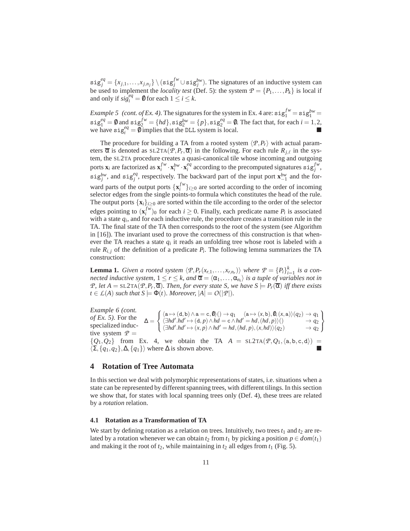$\text{sig}^{eq}_{j} = \{x_{j,1}, \ldots, x_{j,n_j}\} \setminus (\text{sig}^{fw}_{j} \cup \text{sig}^{bw}_{j}).$  The signatures of an inductive system can be used to implement the *locality test* (Def. 5): the system  $P = \{P_1, \ldots, P_k\}$  is local if and only if  $sig_i^{eq} = \emptyset$  for each  $1 \le i \le k$ .

*Example 5 (cont. of Ex. 4).* The signatures for the system in Ex. 4 are:  $\text{sig}_1^{fw} = \text{sig}_1^{bw} =$  $\text{sig}_1^{eq} = \emptyset$  and  $\text{sig}_2^{fw} = \{hd\}$ ,  $\text{sig}_2^{bw} = \{p\}$ ,  $\text{sig}_2^{eq} = \emptyset$ . The fact that, for each  $i = 1, 2$ , we have  $\text{sig}_i^{eq} = \emptyset$  implies that the DLL system is local.

The procedure for building a TA from a rooted system  $\langle P, P_r \rangle$  with actual parameters  $\overline{\alpha}$  is denoted as  $SL2TA(\overline{P},P_r,\overline{\alpha})$  in the following. For each rule  $R_{j,\ell}$  in the system, the SL2TA procedure creates a quasi-canonical tile whose incoming and outgoing ports  $\mathbf{x}_i$  are factorized as  $\mathbf{x}_i^{fw} \cdot \mathbf{x}_i^{bw} \cdot \mathbf{x}_i^{eq}$  according to the precomputed signatures  $\text{sig}_j^{fw}$ , sig<sub>*p<sup>bw</sup>*, and sig<sub>*i*</sub><sup>eq</sup>, respectively. The backward part of the input port  $\mathbf{x}_{-1}^{bw}$  and the for-</sub> ward parts of the output ports  $\{x_i^{fw}\}_{i\geq 0}$  are sorted according to the order of incoming selector edges from the single points-to formula which constitutes the head of the rule. The output ports  $\{x_i\}_{i\geq 0}$  are sorted within the tile according to the order of the selector edges pointing to  $(\mathbf{x}_i^{fw})_0$  for each  $i \ge 0$ . Finally, each predicate name  $P_i$  is associated with a state *q<sup>i</sup>* , and for each inductive rule, the procedure creates a transition rule in the TA. The final state of the TA then corresponds to the root of the system (see Algorithm in [16]). The invariant used to prove the correctness of this construction is that whenever the TA reaches a state  $q_i$  it reads an unfolding tree whose root is labeled with a rule  $R_{i,j}$  of the definition of a predicate  $P_i$ . The following lemma summarizes the TA construction:

**Lemma 1.** *Given a rooted system*  $\langle \mathcal{P}, P_r(x_{r,1},...,x_{r,n_r}) \rangle$  *where*  $\mathcal{P} = \{P_i\}_{i=1}^k$  *is a connected inductive system,*  $1 \le r \le k$ , and  $\overline{\alpha} = \langle \alpha_1, \ldots, \alpha_{n_i} \rangle$  is a tuple of variables not in *P*, let  $A = SL2TA(P, P_r, \overline{\alpha})$ . Then, for every state S, we have  $S \models P_r(\overline{\alpha})$  iff there exists  $t \in L(A)$  *such that*  $S = \Phi(t)$ *. Moreover,*  $|A| = O(|\mathcal{P}|)$ *.* 

 $\Delta =$  $\sqrt{ }$  $\left\vert \right\vert$  $\mathcal{L}$  $\langle a \mapsto (d,b) \wedge a = c, \emptyset \rangle() \rightarrow q_1 \quad \langle a \mapsto (x,b), \emptyset, (x,a) \rangle(q_2) \rightarrow q_1$  $\langle \exists hd'.hd' \mapsto (d, p) \wedge hd = c \wedge hd' = hd, (hd, p) \rangle() \rightarrow q_2$  $\langle \exists hd'.hd' \mapsto (x, p) \wedge hd' = hd, (hd, p), (x, hd) \rangle (q_2) \rightarrow q_2$  $\mathcal{L}$  $\mathcal{L}$ J *Example 6 (cont. of Ex. 5).* For the specialized inductive system  $P =$  $\{Q_1, Q_2\}$  from Ex. 4, we obtain the TA  $A = SL2TA(P, Q_1, \langle a, b, c, d \rangle)$  $\langle \Sigma, \{q_1, q_2\}, \Delta, \{q_1\} \rangle$  where  $\Delta$  is shown above.

## **4 Rotation of Tree Automata**

In this section we deal with polymorphic representations of states, i.e. situations when a state can be represented by different spanning trees, with different tilings. In this section we show that, for states with local spanning trees only (Def. 4), these trees are related by a *rotation* relation.

#### **4.1 Rotation as a Transformation of TA**

We start by defining rotation as a relation on trees. Intuitively, two trees  $t_1$  and  $t_2$  are related by a rotation whenever we can obtain  $t_2$  from  $t_1$  by picking a position  $p \in dom(t_1)$ and making it the root of  $t_2$ , while maintaining in  $t_2$  all edges from  $t_1$  (Fig. 5).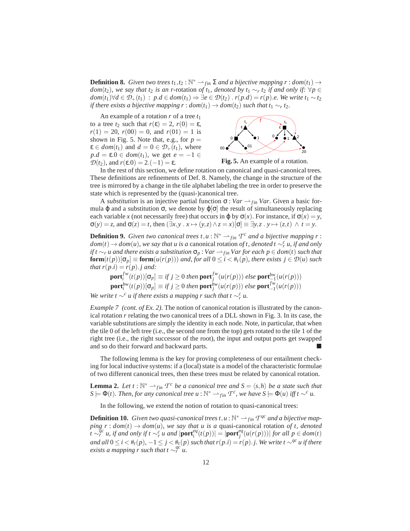**Definition 8.** *Given two trees*  $t_1, t_2 : \mathbb{N}^* \to_{fin} \Sigma$  *and a bijective mapping*  $r : dom(t_1) \to$ *dom*(*t*<sub>2</sub>)*, we say that t*<sub>2</sub> *is an r*-rotation *of t*<sub>1</sub>*, denoted by t*<sub>1</sub> ∼*r t*<sub>2</sub> *if and only if:* ∀*p* ∈ *dom*( $t_1$ )∀*d* ∈  $\mathcal{D}_+(t_1)$  :  $p.d \in dom(t_1) \Rightarrow \exists e \in \mathcal{D}(t_2)$  .  $r(p.d) = r(p).e$ . We write  $t_1 \sim t_2$ *if there exists a bijective mapping r* :  $dom(t_1) \rightarrow dom(t_2)$  *such that t*<sub>1</sub>  $\sim$ <sub>*r*</sub> t<sub>2</sub>.

An example of a rotation *r* of a tree *t*<sup>1</sup> to a tree  $t_2$  such that  $r(\varepsilon) = 2$ ,  $r(0) = \varepsilon$ ,  $r(1) = 20$ ,  $r(00) = 0$ , and  $r(01) = 1$  is shown in Fig. 5. Note that, e.g., for  $p =$  $\varepsilon \in dom(t_1)$  and  $d = 0 \in \mathcal{D}_+(t_1)$ , where  $p.d = \varepsilon.0 \in dom(t_1)$ , we get  $e = -1 \in$ *D*(*t*<sub>2</sub>), and *r*(**ε**.0) = 2.(-1) = ε.



**Fig. 5.** An example of a rotation.

In the rest of this section, we define rotation on canonical and quasi-canonical trees. These definitions are refinements of Def. 8. Namely, the change in the structure of the tree is mirrored by a change in the tile alphabet labeling the tree in order to preserve the state which is represented by the (quasi-)canonical tree.

A *substitution* is an injective partial function  $\sigma$  : *Var*  $\rightarrow$  *f*in *Var*. Given a basic formula  $\varphi$  and a substitution  $\sigma$ , we denote by  $\varphi[\sigma]$  the result of simultaneously replacing each variable *x* (not necessarily free) that occurs in  $\varphi$  by  $\sigma(x)$ . For instance, if  $\sigma(x) = y$ ,  $\sigma(y) = z$ , and  $\sigma(z) = t$ , then  $(\exists x, y \cdot x \mapsto (y, z) \land z = x)[\sigma] \equiv \exists y, z \cdot y \mapsto (z, t) \land t = y$ .

**Definition 9.** *Given two canonical trees t, u* :  $\mathbb{N}^* \rightarrow_{fin} T^c$  *and a bijective mapping r* :  $dom(t) \rightarrow dom(u)$ , we say that *u* is a canonical rotation *of t, denoted t* ∼<sup>*c*</sup> *r u, if and only if t* ∼*r u* and there exists a substitution  $\sigma_p$  : *Var*  $\rightarrow$  *f*<sub>in</sub> *Var for each*  $p \in dom(t)$  *such that* **form** $(t(p))$ [ $\sigma_p$ ]  $\equiv$  **form** $(u(r(p)))$  *and, for all*  $0 \leq i \leq \text{#}_t(p)$ *, there exists*  $j \in \mathcal{D}(u)$  *such that*  $r(p.i) = r(p).j$  *and:* 

$$
\mathbf{port}_{i}^{fw}(t(p))[\sigma_{p}] \equiv \text{if } j \ge 0 \text{ then } \mathbf{port}_{j}^{fw}(u(r(p))) \text{ else } \mathbf{port}_{-1}^{bw}(u(r(p)))
$$
\n
$$
\mathbf{port}_{i}^{bw}(t(p))[\sigma_{p}] \equiv \text{if } j \ge 0 \text{ then } \mathbf{port}_{j}^{bw}(u(r(p))) \text{ else } \mathbf{port}_{-1}^{fw}(u(r(p)))
$$

*We write t* ∼<sup>*c*</sup> *u if there exists a mapping r such that t* ∼<sup>*c*</sup> *u*.

*Example 7 (cont. of Ex. 2).* The notion of canonical rotation is illustrated by the canonical rotation *r* relating the two canonical trees of a DLL shown in Fig. 3. In its case, the variable substitutions are simply the identity in each node. Note, in particular, that when the tile 0 of the left tree (i.e., the second one from the top) gets rotated to the tile 1 of the right tree (i.e., the right successor of the root), the input and output ports get swapped and so do their forward and backward parts.

The following lemma is the key for proving completeness of our entailment checking for local inductive systems: if a (local) state is a model of the characteristic formulae of two different canonical trees, then these trees must be related by canonical rotation.

**Lemma 2.** Let  $t : \mathbb{N}^* \to_{fin} T^c$  be a canonical tree and  $S = \langle s, h \rangle$  be a state such that  $S \models \Phi(t)$ . Then, for any canonical tree  $u : \mathbb{N}^* \rightarrow_{fin} T^c$ , we have  $S \models \Phi(u)$  iff  $t \sim^c u$ .

In the following, we extend the notion of rotation to quasi-canonical trees:

**Definition 10.** Given two quasi-canonical trees  $t, u : \mathbb{N}^* \to_{fin} T^{qc}$  and a bijective map*ping r* :  $dom(t) \rightarrow dom(u)$ *, we say that u is a quasi-canonical rotation of t, denoted*  $\int_{t}^{q_c} t \sqrt{q}$  and  $q_c$  and  $\int_{t}^{q_c} t \sqrt{q}$  and  $|\text{port}_i^{eq}(t(p))| = |\text{port}_j^{eq}(u(r(p)))|$  for all  $p \in dom(t)$ *and all*  $0 \le i < #$ <sub>t</sub>(*p*)*,* −1 ≤ *j* <  $#$ <sub>t</sub>(*p*) *such that r*(*p,i*) = *r*(*p*)*.j.* We write *t* ∼<sup>*qc*</sup> *u* if there *exists a mapping r such that t*  $\sim_r^{qc} u$ .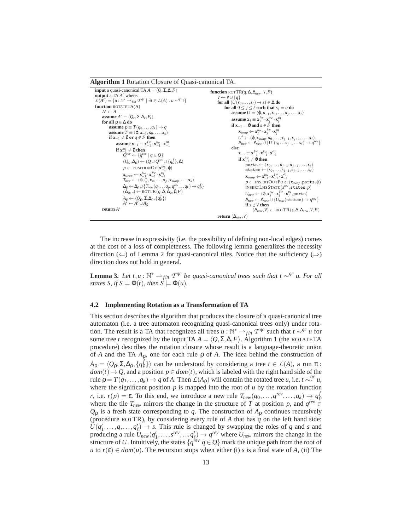#### **Algorithm 1** Rotation Closure of Quasi-canonical TA.

```
input a quasi-canonical TA A = \langle Q, \Sigma, \Delta, F \rangleoutput a TA A<sup>r</sup> where:<br>
L(A^r) = \{u : \mathbb{N}^* \to_{fin} T^{qc} \mid \exists t \in L(A) \cdot u \sim^{qc} t\}function ROTATETA(A)
           A^r \leftarrow Aassume A^r \equiv \langle Q_r, \Sigma, \Delta_r, F_r \ranglefor all ρ ∈ ∆ do
                  assume p \equiv T(q_0, \ldots, q_k) \rightarrow q\mathbf{a} assume T \equiv \langle \boldsymbol{\varphi}, \mathbf{x}_{-1}, \mathbf{x}_0, \ldots, \mathbf{x}_k \rangleif \mathbf{x}_{-1} \neq 0 or q \notin F then
                             assume \mathbf{x}_{-1} \equiv \mathbf{x}_{-1}^{f_w} \cdot \mathbf{x}_{-1}^{b_w} \cdot \mathbf{x}_{-1}^{eq}if \mathbf{x}_{-1}^{bw} \neq \emptyset then
                                       Q^{rev} \leftarrow \{q^{rev} \mid q \in Q\}(Q_{\rho}, \Delta_{\rho}) \leftarrow (Q \cup Q^{rev} \cup \{q_{\rho}^{f}\}, \Delta)p \leftarrow \text{positional}(\mathbf{x}_{-1}^{bw}, \varphi)\mathbf{x}_{swap} \leftarrow \mathbf{x}_{-1}^{bw} \cdot \mathbf{x}_{-1}^{fw} \cdot \mathbf{x}_{-1}^{eq}T_{new} \leftarrow {\langle \phi, \langle \rangle, \mathbf{x}_0, \dots, \mathbf{x}_p, \mathbf{x}_{swap}, \dots, \mathbf{x}_k \rangle}\Delta_{\rho} \leftarrow \Delta_{\rho} \cup \{ T_{new}(q_0 \dots q_p, q^{rev} \dots q_k) \rightarrow q_{\rho}^f \}<br>
(\Delta_{\rho}, \square) \leftarrow \text{ROTTR}(q, \Delta, \Delta_{\rho}, \emptyset, F)A<sub>ρ</sub> ← \langle Q<sub>ρ</sub>, Σ, Δ<sub>ρ</sub>, {q<sup>f</sup><sub>β</sub>}}
                                       A^r \leftarrow A^r \cup A_\deltareturn A
r
                                                                                                                                                          function ROTTR(q, \Delta, \Delta_{new}, V, F)V \leftarrow V \cup \{q\}for all (U(s_0,...,s_\ell) \to s) \in \Delta do
                                                                                                                                                                             for all 0 \le j \le \ell such that s_j = q do
                                                                                                                                                                                        assume U = \langle \varphi, \mathbf{x}_{-1}, \mathbf{x}_0, \dots, \mathbf{x}_j, \dots, \mathbf{x}_\ell \rangleassume \mathbf{x}_j \equiv \mathbf{x}_j^{f_w} \cdot \mathbf{x}_j^{b_w} \cdot \mathbf{x}_j^{eq}if \mathbf{x}_{-1} = 0 and s \in F then
                                                                                                                                                                                                 \mathbf{x}_{swap} \leftarrow \mathbf{x}_j^{bw} \cdot \mathbf{x}_j^{fw} \cdot \mathbf{x}_j^{eq}U' \leftarrow \langle \varphi, \mathbf{x}_{swap}, \mathbf{x}_0, \ldots, \mathbf{x}_{j-1}, \mathbf{x}_{j+1}, \ldots, \mathbf{x}_{\ell} \rangle\Delta_{new} \leftarrow \Delta_{new} \cup \{U'(s_0 \dots s_{j-1} \dots s_\ell) \rightarrow q^{rev}\}else
                                                                                                                                                                                                 \mathbf{x}_{-1} \equiv \mathbf{x}_{-1}^{f_w} \cdot \mathbf{x}_{-1}^{bw} \cdot \mathbf{x}_{-1}^{eq}if \mathbf{x}_{-1}^{bw} \neq \emptyset then
                                                                                                                                                                                                         \overrightarrow{\text{ports}} \leftarrow \langle \mathbf{x}_0, \dots, \mathbf{x}_{j-1}, \mathbf{x}_{j+1}, \dots, \mathbf{x}_{\ell} \ranglestates \leftarrow (s_0, \ldots, s_{j-1}, s_{j+1}, \ldots, s_\ell)\mathbf{x}_{swap} \leftarrow \mathbf{x}_{-1}^{bw} \cdot \mathbf{x}_{-1}^{fw} \cdot \mathbf{x}_{-1}^{eq}p ← INSERTOUTPORT (xswap,ports,ϕ)
                                                                                                                                                                                                           INSERTLHSSTATE (s
rev
,states, p)
                                                                                                                                                                                                           U_{new} \leftarrow \langle \boldsymbol{\varphi}, \mathbf{x}_{j}^{bw} \cdot \mathbf{x}_{j}^{fw} \cdot \mathbf{x}_{j}^{eq}, \texttt{ports} \rangle\Delta_{new} \leftarrow \Delta_{new} \cup \{U_{new}(\texttt{states}) \rightarrow q^{rev}\}if s \notin V then
                                                                                                                                                                                                                   (\Delta_{new}, V) \leftarrow ROTTR(s, \Delta, \Delta_{new}, V, F)return (∆new,V)
```
The increase in expressivity (i.e. the possibility of defining non-local edges) comes at the cost of a loss of completeness. The following lemma generalizes the necessity direction ( $\Leftarrow$ ) of Lemma 2 for quasi-canonical tiles. Notice that the sufficiency ( $\Rightarrow$ ) direction does not hold in general.

**Lemma 3.** Let  $t, u : \mathbb{N}^* \to_{fin} T^{qc}$  be quasi-canonical trees such that  $t \sim^{qc} u$ . For all *states S, if*  $S \models \Phi(t)$ *, then*  $S \models \Phi(u)$ *.* 

#### **4.2 Implementing Rotation as a Transformation of TA**

This section describes the algorithm that produces the closure of a quasi-canonical tree automaton (i.e. a tree automaton recognizing quasi-canonical trees only) under rotation. The result is a TA that recognizes all trees  $u : \mathbb{N}^* \longrightarrow_{fin} T^{qc}$  such that  $t \sim^{qc} u$  for some tree *t* recognized by the input TA  $A = \langle Q, \Sigma, \Delta, F \rangle$ . Algorithm 1 (the ROTATETA procedure) describes the rotation closure whose result is a language-theoretic union of *A* and the TA *A*ρ, one for each rule ρ of *A*. The idea behind the construction of  $A_{\rho} = \langle Q_{\rho}, \Sigma, \Delta_{\rho}, \{q^f_{\rho}\}\rangle$  can be understood by considering a tree  $t \in L(A)$ , a run  $\pi$ :  $dom(t) \rightarrow Q$ , and a position  $p \in dom(t)$ , which is labeled with the right hand side of the  $\mathcal{L}(A_{\rho})$  will contain the rotated tree *u*, i.e. *t*  $\sim_{r}^{qc} u$ , rule  $\rho = T(q_1, \ldots, q_k) \rightarrow q$  of *A*. Then  $\mathcal{L}(A_{\rho})$  will contain the rotated tree *u*, i.e. *t*  $\sim_{r}^{qc} u$ , where the significant position  $p$  is mapped into the root of  $u$  by the rotation function *r*, i.e.  $r(p) = \varepsilon$ . To this end, we introduce a new rule  $T_{new}(q_0, \ldots, q^{rev}, \ldots, q_k) \rightarrow q_p^f$ where the tile  $T_{new}$  mirrors the change in the structure of *T* at position *p*, and  $q^{rev} \in$  $Q<sub>0</sub>$  is a fresh state corresponding to *q*. The construction of  $A<sub>0</sub>$  continues recursively (procedure ROTTR), by considering every rule of *A* that has *q* on the left hand side:  $U(q'_1, \ldots, q, \ldots, q'_\ell) \to s$ . This rule is changed by swapping the roles of *q* and *s* and producing a rule  $U_{new}(q'_1, \ldots, s^{rev}, \ldots q'_\ell) \to q^{rev}$  where  $U_{new}$  mirrors the change in the structure of *U*. Intuitively, the states  $\{q^{\text{rev}}|q \in Q\}$  mark the unique path from the root of *u* to  $r(\varepsilon) \in dom(u)$ . The recursion stops when either (i) *s* is a final state of *A*, (ii) The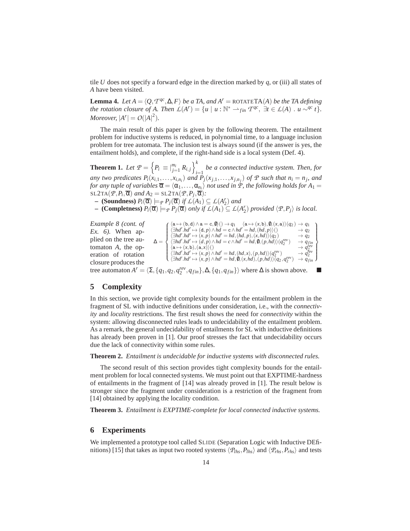tile *U* does not specify a forward edge in the direction marked by *q*, or (iii) all states of *A* have been visited.

**Lemma 4.** *Let*  $A = \langle Q, T^{qc}, \Delta, F \rangle$  *be a TA, and*  $A^r = \text{ROTATETA}(A)$  *be the TA defining the rotation closure of A. Then*  $L(A^r) = \{u \mid u : \mathbb{N}^* \to_{fin} T^{qc}, \exists t \in L(A) : u \sim^{qc} t\}.$ *Moreover,*  $|A^r| = O(|A|^2)$ *.* 

The main result of this paper is given by the following theorem. The entailment problem for inductive systems is reduced, in polynomial time, to a language inclusion problem for tree automata. The inclusion test is always sound (if the answer is yes, the entailment holds), and complete, if the right-hand side is a local system (Def. 4).

**Theorem 1.** Let  $P = \left\{ P_i \equiv \big|_{j=1}^{m_i} R_{i,j} \right\}_{i=1}^k$  be a connected inductive system. Then, for any two predicates  $P_i(x_{i,1},...,x_{i,n_i})$  and  $P_j(x_{j,1},...,x_{j,n_j})$  of  $\mathcal P$  such that  $n_i = n_j$ , and *for any tuple of variables*  $\overline{\alpha} = \langle \alpha_1, \ldots, \alpha_{n_i} \rangle$  *not used in*  $\overline{P}$ *, the following holds for*  $A_1 =$  $\overline{\text{SL2TA}(\mathcal{P}, P_i, \overline{\alpha})}$  *and*  $A_2 = \text{SL2TA}(\mathcal{P}, P_j, \overline{\alpha})$ *:* 

- $P_i(\overline{\alpha}) \models_P P_j(\overline{\alpha})$  *if*  $\mathcal{L}(A_1) \subseteq \mathcal{L}(A_2^r)$  *and*
- $P_i(\overline{\alpha}) \models_P P_j(\overline{\alpha})$  *only if*  $L(A_1) \subseteq L(A_2^{\prime})$  *provided*  $\langle P, P_j \rangle$  *is local.*

 $\Delta =$  $\int$  $\overline{\mathcal{L}}$  $\langle a \mapsto (b,d) \land a = c, \emptyset \rangle() \rightarrow q_1 \quad \langle a \mapsto (x,b), \emptyset, (x,a) \rangle (q_2) \rightarrow q_1 \langle \exists hd'.hd' \mapsto (d,p) \land hd = c \land hd' = hd, (hd, p) \rangle() \rightarrow q_2$  $\langle \exists hd'.hd' \mapsto (x,p) \wedge hd' = hd, (hd, p), (x, hd) \rangle (q_2) \rightarrow q_2$  $\langle \exists hd'.hd' \mapsto (d,p) \wedge hd = c \wedge hd' = hd, 0, (p,hd) \rangle (q_2^{rev}) \longrightarrow q_{fin}$  $\langle \mathbf{a} \mapsto (x, \mathbf{b}), (\mathbf{a}, x) \rangle$ <br>  $\langle \exists hd' \land hd' \mapsto (x, p) \land hd' = hd, (hd, x), (p, hd) \rangle (q_2^{rev}) \rightarrow q_2^{rev}$ <br>  $\langle \exists hd' \land hd' \mapsto (x, p) \land hd' = hd, \mathbf{0}, (x, hd), (p, hd) \rangle (q_2, q_2^{rev}) \rightarrow q_{fin}$ )  $\overline{\mathcal{L}}$  $\int$ *Example 8 (cont. of Ex. 6).* When applied on the tree automaton *A*, the operation of rotation closure produces the

tree automaton  $A^r = \langle \Sigma, \{q_1, q_2, q_2^{rev}, q_{fin}\}, \Delta, \{q_1, q_{fin}\}\rangle$  where  $\Delta$  is shown above.

## **5 Complexity**

In this section, we provide tight complexity bounds for the entailment problem in the fragment of SL with inductive definitions under consideration, i.e., with the *connectivity* and *locality* restrictions. The first result shows the need for *connectivity* within the system: allowing disconnected rules leads to undecidability of the entailment problem. As a remark, the general undecidability of entailments for SL with inductive definitions has already been proven in [1]. Our proof stresses the fact that undecidability occurs due the lack of connectivity within some rules.

**Theorem 2.** *Entailment is undecidable for inductive systems with disconnected rules.*

The second result of this section provides tight complexity bounds for the entailment problem for local connected systems. We must point out that EXPTIME-hardness of entailments in the fragment of [14] was already proved in [1]. The result below is stronger since the fragment under consideration is a restriction of the fragment from [14] obtained by applying the locality condition.

**Theorem 3.** *Entailment is EXPTIME-complete for local connected inductive systems.*

### **6 Experiments**

We implemented a prototype tool called SLIDE (Separation Logic with Inductive DEfinitions) [15] that takes as input two rooted systems  $\langle P_{lhs}, P_{lhs} \rangle$  and  $\langle P_{rhs}, P_{rhs} \rangle$  and tests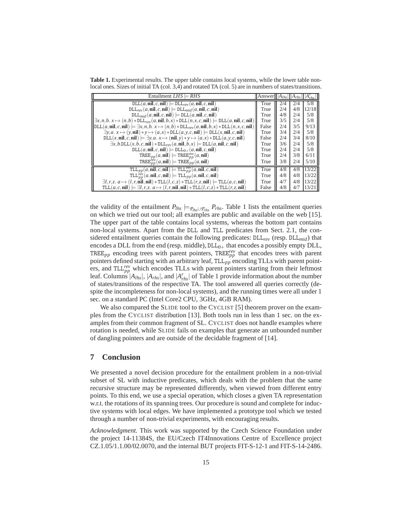**Table 1.** Experimental results. The upper table contains local systems, while the lower table nonlocal ones. Sizes of initial TA (col. 3,4) and rotated TA (col. 5) are in numbers of states/transitions.

| Entailment $LHS = RHS$                                                                                                                                                                                  | Answer $ A_{lhs} $ $ A_{rhs} $ |     |     |       |
|---------------------------------------------------------------------------------------------------------------------------------------------------------------------------------------------------------|--------------------------------|-----|-----|-------|
| $DLL(a, nil, c, nil) \models DLL_{rev}(a, nil, c, nil)$                                                                                                                                                 | True                           | 2/4 | 2/4 | 5/8   |
| $\text{DLL}_{rev}(a,\textbf{nil},c,\textbf{nil}) \models \text{DLL}_{mid}(a,\textbf{nil},c,\textbf{nil})$                                                                                               | True                           | 2/4 | 4/8 | 12/18 |
| $DLL_{mid}(a,nil, c,nil) \models DLL(a,nil, c,nil)$                                                                                                                                                     | True                           | 4/8 | 2/4 | 5/8   |
| $\exists x, n, b. x \mapsto (n, b) * \texttt{DLL}_{rev}(a, \textbf{nil}, b, x) * \texttt{DLL}(n, x, c, \textbf{nil}) \models \texttt{DLL}(a, \textbf{nil}, c, \textbf{nil})$                            | True                           | 3/5 | 2/4 | 5/8   |
| $\text{DLL}(a,\textbf{nil},c,\textbf{nil}) \models \exists x, n,b. \ x \mapsto (n,b) * \text{DLL}_{rev}(a,\textbf{nil},b,x) * \text{DLL}(n,x,c,\textbf{nil})$                                           | False                          | 2/4 | 3/5 | 9/13  |
| $\exists y, a. x \mapsto (y, \textbf{nil}) * y \mapsto (a, x) * \text{DLL}(a, y, c, \textbf{nil}) \models \text{DLL}(x, \textbf{nil}, c, \textbf{nil})$                                                 | True                           | 3/4 | 2/4 | 5/8   |
| $DLL(x, nil, c, nil) \models \exists y, a. x \mapsto (nil, y) * y \mapsto (a, x) * DLL(a, y, c, nil)$                                                                                                   | False                          | 2/4 | 3/4 | 8/10  |
| $\exists x, b.$ DLL $(x, b, c, \textbf{nil}) *$ DLL $_{rev}(a, \textbf{nil}, b, x) \models$ DLL $(a, \textbf{nil}, c, \textbf{nil})$                                                                    | True                           | 3/6 | 2/4 | 5/8   |
| $DLL(a,nil, c,nil) \models DLL_{0+}(a,nil, c,nil)$                                                                                                                                                      | True                           | 2/4 | 2/4 | 5/8   |
| $TREE_{pp}(a, \textbf{nil})$ = TREE $_{nn}^{rev}(a, \textbf{nil})$                                                                                                                                      | True                           | 2/4 | 3/8 | 6/11  |
| $TREE_{nn}^{rev}(a, \textbf{nil})$ = $TREE_{pp}(a, \textbf{nil})$                                                                                                                                       | True                           | 3/8 | 2/4 | 5/10  |
| $\texttt{TLL}_{pp}(a,\textbf{nil},c,\textbf{nil}) \models \texttt{TLL}_{pp}^{rev}(a,\textbf{nil},c,\textbf{nil})$                                                                                       | True                           | 4/8 | 4/8 | 13/22 |
| $\texttt{TLL}_{\textit{DD}}^{\textit{rev}}(a,\textbf{nil},c,\textbf{nil}) \models \texttt{TLL}_{\textit{pp}}(a,\textbf{nil},c,\textbf{nil})$                                                            | True                           | 4/8 | 4/8 | 13/22 |
| $\exists l, r, z. a \mapsto (l, r, \hat{\mathbf{n}}\mathbf{il}, \mathbf{n}\mathbf{il}) * \text{TLL}(l, c, z) * \text{TLL}(r, z, \mathbf{n}\mathbf{il}) \models \text{TLL}(a, c, \mathbf{n}\mathbf{il})$ | True                           | 4/7 | 4/8 | 13/22 |
| $TLL(a, c, nil) \models \exists l, r, z. a \mapsto (l, r, nil, nil) * TLL(l, c, z) * TLL(r, z, nil)$                                                                                                    | False                          | 4/8 | 4/7 | 13/21 |

the validity of the entailment  $P_{lhs} \models_{\mathcal{P}_{lhs} \cup \mathcal{P}_{rhs}} P_{rhs}$ . Table 1 lists the entailment queries on which we tried out our tool; all examples are public and available on the web [15]. The upper part of the table contains local systems, whereas the bottom part contains non-local systems. Apart from the DLL and TLL predicates from Sect. 2.1, the considered entailment queries contain the following predicates: DLL*rev* (resp. DLL*mid*) that encodes a DLL from the end (resp. middle),  $DLL<sub>0+</sub>$  that encodes a possibly empty DLL, TREE<sub>pp</sub> encoding trees with parent pointers, TREE<sup>*rev*</sup> that encodes trees with parent pointers defined starting with an arbitrary leaf, TLL<sub>pp</sub><sup>1</sup> encoding TLLs with parent pointers, and  $TLL_{pp}^{rev}$  which encodes TLLs with parent pointers starting from their leftmost leaf. Columns  $|A_{Ihs}|$ ,  $|A_{rhs}|$ , and  $|A_{rhs}^r|$  of Table 1 provide information about the number of states/transitions of the respective TA. The tool answered all queries correctly (despite the incompleteness for non-local systems), and the running times were all under 1 sec. on a standard PC (Intel Core2 CPU, 3GHz, 4GB RAM).

We also compared the SLIDE tool to the CYCLIST [5] theorem prover on the examples from the CYCLIST distribution [13]. Both tools run in less than 1 sec. on the examples from their common fragment of SL. CYCLIST does not handle examples where rotation is needed, while SLIDE fails on examples that generate an unbounded number of dangling pointers and are outside of the decidable fragment of [14].

# **7 Conclusion**

We presented a novel decision procedure for the entailment problem in a non-trivial subset of SL with inductive predicates, which deals with the problem that the same recursive structure may be represented differently, when viewed from different entry points. To this end, we use a special operation, which closes a given TA representation w.r.t. the rotations of its spanning trees. Our procedure is sound and complete for inductive systems with local edges. We have implemented a prototype tool which we tested through a number of non-trivial experiments, with encouraging results.

*Acknowledgment.* This work was supported by the Czech Science Foundation under the project 14-11384S, the EU/Czech IT4Innovations Centre of Excellence project CZ.1.05/1.1.00/02.0070, and the internal BUT projects FIT-S-12-1 and FIT-S-14-2486.